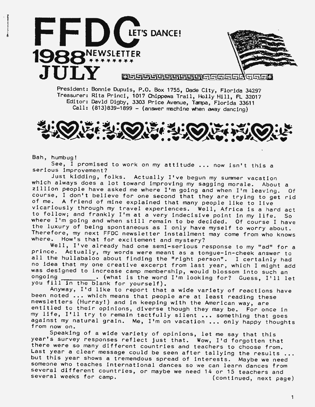



**Ju Ly** D8§r.;]'l;jl;fi;jl;jL;iL'][:jlL~t§Eir-i'-' ~1f.:i1;:D

President: Bonnie Dupuis, P.O. Box 1755, Dade City, Florida 34297 Treasurer: Rita Princi, 1017 Chippewa Trail, Holly Hill, FL 32017 Editor: Davld Digby, 3303 Price Avenue, Tampa, Florida 33611  $Call: (813)839-1899 - (answer machine when away dancing)$ 



Bah, humbug!

See, I promised to work on my attitude ... now isn't this a serious improvement?

Just kidding, folks. Actually **I've** begun my surrmer vacation which always does a lot toward improving my sagging morale. About a zillion people have asked me where I'm going and when I'm leaving. Of course, I don't believe for one second that they are trying to get rid of me. A friend of mine explained that many people like to live vicariously through my travel experiences. Well, Africa is a hard act to follow; and frankly I'm at a very indecisive point in my life. So where I'm going and when still remain to be decided. Of course I have the luxury of being spontaneous as I only have myself to worry about. Therefore, my next FFDC newsletter installment may come from who knows where. How's that for excitement and mystery?

Well, I've already had one semi-serious response to my "ad'' for a prince. Actually, my words were meant as a tongue-in-cheek answer to all the hullabaloo about finding the "right person". I certainly had no idea that my one creative excerpt from last year, which I might add was designed to increase camp membership, would blossom into such an ongoing  $\cdot$  (what is the word I'm looking for? Guess I'll L  $\_\_\_\$ . (what is the word I'm looking for? Guess, I'll let you fill in the blank for yourself).

Anyway, I'd like to report that a wide variety of reactions have been noted ... which means that people are at least reading these newsletters (Hurray!) and in keeping with the American way, are entitled to their opinions, diverse though they may be. For once in my life, I'll try to remain tactfully silent ••• something that goes against my natural grain. Me, I'm on vacation ... only happy thoughts from now on.

Speaking of a wide variety of opinions, let me say that this year's survey responses reflect just that. **Wow,** I'd forgotten that there were so many different countries and teachers to choose from. Last year a clear message could be seen after tallying the results ... but this year shows a tremendous spread of interests. Maybe we need someone who teaches international dances so we can learn dances from several different countries, or maybe we need 14 or 15 teachers and several weeks for camp.  $\frac{1}{2}$  is the majps we measure in the feature s and  $\frac{1}{2}$  (continued, next page)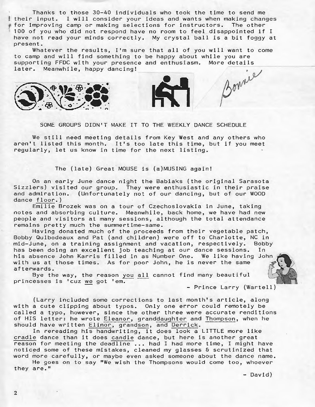Thanks to those 30-40 individuals who took the time to send me I their input. I will consider your ideas and wants when making changes for improving camp or making selections for instructors. The other 100 of you who did not respond have no room to feel disappointed if I have not read your minds correctly. My crystal ball is a bit foggy at present.

Whatever the results, I'm sure that all of you will want to come to camp and will find something to be happy about while you are<br>supporting FFDC with your presence and enthusiasm. More details later. Meanwhile, happy dancing!



SOME GROUPS DIDN'T MAKE IT TO THE WEEKLY DANCE SCHEDULE

We still need meeting details from Key West and any others who aren't listed this month. It's too late this time, but if you meet regularly, let us know in time for the next listing.

The (late) Great MOUSE is (a)MUSING again!

On an early June dance night the Babiaks (the original Sarasota Sizzlers) visited our group. They were enthusiastic in their praise and admiration. (Unfortunately not of our dancing, but of our WOOD dance floor.)

Emilie Brozek was on a tour of Czechoslovakia in June, taking notes and absorbing culture. Meanwhile, back home, we have had new people and visitors at many sessions, although the total attendance remains pretty much the summertime-same.

Having donated much of the proceeds from their vegetable patch, Bobby Quibodeaux and Pat (and children) were off to Charlotte, NC in mid-June, on a training assignment and vacation, respectively. Bobby<br>has been doing an excellent job teaching at our dance sessions. In<br>his absence John Karris filled in as Number One. We like having John<br>with us at those has been doing an excellent job teaching at our dance sessions. In<br>his absence John Karris filled in as Number One. We like having John with us at those times. As for poor John, he is never the same afterwards. By the way, the reason you all cannot find many beautiful  $\left(\begin{array}{cc} 0 & 0 \\ 0 & 0 \end{array}\right)$ 

princesses is 'cuz we got 'em.

- Prince Larry (Wartell)

(Larry included some corrections to last month's article, along with a cute clipping about typos. Only one error could remotely be called a typo, however, since the other three were accurate renditions of HIS letter: he wrote Eleanor, granddaughter and Thompson, when he should have written Elinor, grandson, and Derrick.

In rereading his handwriting, it does look a LITTLE more like cradle dance than it does candle dance, but here is another great reason for meeting the deadline ... had I had more time, I might have noticed some of these mistakes, cleaned my glasses & scrutinized that word more carefully, or maybe even asked someone about the dance name.

He goes on to say "We wish the Thompsons would come too, whoever they are."

- David)

2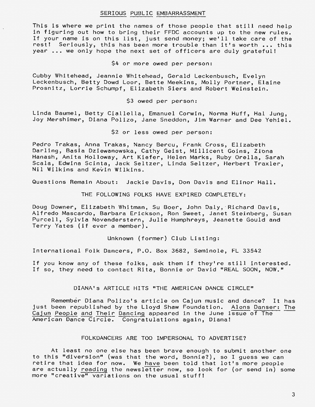# SERIOUS PUBLIC EMBARRASSMENT

This is where we print the names of those people that still need help in figuring out how to bring their FFDC accounts up to the new rules. If your name is on this list, just send money; we'll take care of the rest! Seriously, this has been more trouble than it's worth ... this year ... we only hope the next set of officers are duly grateful!

\$4 or more owed per person:

Cubby Whitehead, Jeannie Whitehead, Gerald Leckenbusch, Evelyn Leckenbusch, Betty Dowd Loor, Bette Meekins, Molly Portner, Elaine Prosnitz, Lorrie Schumpf, Elizabeth Siers and Robert Weinstein.

\$3 owed per person:

Linda Baumel, Betty Ciallella, Emanuel Corwin, Norma Huff, Hal Jung, Joy Mershimer, Diana Polizo, Jane Sneddon, Jim Warner and Dee Yehiel.

\$2 or less owed per person:

Pedro Trakas, Anna Trakas, Nancy Bercu, Frank Cross, Elizabeth Darling, Basia Dziewanowska, Cathy Geist, Millicent Goins, Zibna Hanash, Anita Holloway, Art Kiefer, Helen Marks, Ruby Orella, Sarah Scala, Edwina Scinta, Jack Seltzer, Linda Seltzer, Herbert Traxler, Nil Wilkins and Kevin Wilkins.

Questions Remain About: Jackie Davis, Don Davis and Elinor Hall.

THE FOLLOWING FOLKS HAVE EXPIRED COMPLETELY:

Doug Downer, Elizabeth Whitman, Su Boer, John Daly, Richard Davis, Alfredo Mascardo, Barbara Erickson, Ron Sweet, Janet Steinberg, Susan Purcell, Sylvia Novenderstern, Julie Humphreys, Jeanette Gould and Terry Yates (if ever a member}.

Unknown (former) Club Listing:

International Folk Dancers, P.O. Box 3682, Seminole, FL 33542

If you know any of these folks, ask them if they're still interested. If so, they need to contact Rita, Bonnie or David "REAL SOON, NOW."

DIANA's ARTICLE HITS "THE AMERICAN DANCE CIRCLE"

Remember Diana Polizo's article on Cajun music and dance? It has just been republished by the Lloyd Shaw Foundation. Alons Danser: The Cajun People and Their Dancing appeared in the June issue of The American Dance Circle. Congratulations again, Diana!

#### FOLKDANCERS ARE TOO IMPERSONAL TO ADVERTISE?

At least no one else has been brave enough to submit another one to this "diversion" (was that the word, Bonnie?), so I guess we can retire that idea for now. We have been told that lot's more people are actually reading the newsletter now, so look for (or send in) some more "creative" variations on the usual stuff!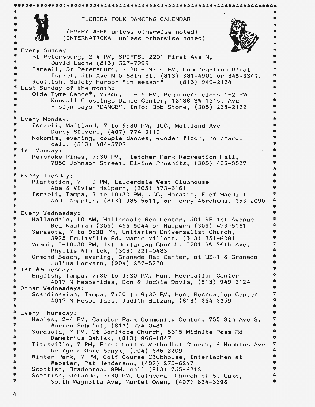```
********************************************************************** 
\ddot{\hspace{1cm}} . The contract of the contract of the contract of the contract of the contract of the contract of the contract of the contract of the contract of the contract of the contract of the contract of the contract o
                       FLORIDA FOLK DANCING CALENDAR 
$
ġ,
                  (EVERY WEEK unless otherwise noted) 
$
                 (INTERNATIONAL unless otherwise noted) 
*
* Every Sunday:<br>* St Petersh
* St Petersburg, 2-4 PM, SPIFFS, 2201 First Ave N,
* David Leone (813) 327-7999 
                                                                                        幸
* Israeli, St Petersburg, 7:30 - 9:30 PM, Congregation B'nai 
* Israel, 5th Ave N & 58th St. (813) 381-4900 or 345-3341. 
* Scottish, Safety Harbor "in season"<br>* Last Sunday of the month:
                                                                                        $
                                                                                        ż
* Last Sunday of the month: 
* Olde Tyme Dance*, Miami, 1 - 5 PM, Beginners class 1-2 PM<br>* Kendall Crossings Dance Center, 12198 SW 131st Ave
* Kendall Crossings Dance Center, 12188 SW 131st Ave 
                                                                                        ż
\frac{*}{*} - sign says "DANCE". Info: Bob Stone, (305) 235-2122
                                                                                        4
* Every Monday:<br>* Israeli M
                                                                                        \mathbf{z}* Israeli, Maitland, 7 to 9:30 PM, JCC, Maitland Ave 
                                                                                        *
* Darcy Silvers, (407) 774-3119 
                                                                                        \ddot{\phantom{a}}* Nokomis, evening, couple dances, wooden floor, no charge 
* call: (813) 484-5707<br>* 1st Monday:
                                                                                        ż
                                                                                        \bullet* 1st Monday: 
* Pembroke Pines, 7:30 PM, Fletcher Park Recreation Hall, 
                                                                                        $
            7850 Johnson Street, Elaine Prosnitz, (305) 435-0827
                                                                                        幸
* 
                                                                                        \star* Every Tuesday:<br>*    Plantation
* Plantation, 7 - 9 PM, Lauderdale West Clubhouse
                                                                                        森
                                                                                        辛
            Abe & Vivian Halpern, (305) 473-6161 
\ddot{\boldsymbol{\ast}}Israeli, Tampa, 8 to 10:30 PM, JCC, Horatio, E of MacDill 
                                                                                        *
*
            Andi Kapplin, (813) 985-5611, or Terry Abrahams, 253-2090 
                                                                                        \ddot{\bullet}\pmb{\ast}*
* Every Wednesday:<br>* Hallandale 1
                                                                                        ź.
* Hallandale, 10 AM, Hallandale Rec Center, 501 SE 1st Avenue<br>* 1503 Kaufman (305) 456 5044 en Helpenn (305) 473 6161
                                                                                        *
* Bea Kaufman (305) 456-5044 or Halpern (305) 473-6161 
* Sarasota, 7 to 9:30 PM, Unitarian Universalist Church, 
                                                                                        *
                                                                                        \ddot{\Phi}* 3975 Fruitville Rd. Marie Millett, (813) 351-6281 
                                                                                        *
* Miami, 8-10:30 PM, 1st Unitarian Church, 7701 SW 76th Ave, 
* Phyllis Winnick, (305) 221-0483 
                                                                                        \ddot{\textbf{r}}* Ormond Beach, evening, Granada Rec Center, at US-1 & Granada 
                                                                                        *
* Julius Horvath, (904) 252-5738
                                                                                        \ddot{\ast}* 1st Wednesday:<br>* Feelish Tay
                                                                                        $
                                                                                        ¢
* English, Tampa, 7:30 to 9:30 PM, Hunt Recreation Center 
                                                                                        $
* 4017 N Hesperides, Don & Jackie Davis, (813) 949-2124 
                                                                                        *
* Other Wednesdays:<br>* Scandinavian
                                                                                        \ddot{\bm{x}}* Scandinavian, Tampa, 7:30 to 9:30 PM, Hunt Recreation Center 
             4017 N Hesperides, Judith Baizan, (813) 254-3359
                                                                                        $
* 
                                                                                        ≵
                                                                                        \ddot{\ast}* Every Thursday:<br>*    Nanles  2-4 l
                                                                                        \pmb{\hat{\pi}}* Naples, 2-4 PM, Cambier Park Community Center, 755 8th Ave S. 
                                                                                        \ddot{\ast}Warren Schmidt, (813) 774-0481 
\pmb{\ast}$
      Sarasota, 7 PM, St Boniface Church, 5615 Midnite Pass Rd 
             Demetrius Bablak, (813) 966-1847 
幸
                                                                                        \PhiTitusville, 7 PM, First United Methodist Church, S Hopkins Ave 
\pmb{\ast}\pmb{\ast}*
            George & Onie Senyk, (904) 636-2209 
                                                                                        \pmb{\hat{\pi}}*
                                                                                        \ddot{\phantom{1}}Winter Park, 7 PM, Golf Course Clubhouse, Interlachen at 
\ddot{\mathbf{x}}Webster, Pat Henderson, (407) 275-6247 
                                                                                        \pmb{\hat{\pi}}\frac{1}{2}\ddot{\mathbf{r}}Scottish, Bradenton, 8PM, call (813) 755-6212 
*
      Scottish, Orlando, 7:30 PM, Cathedral Church of St Luke, 
                                                                                        \frac{1}{2}* 
                                                                                        \hat{\boldsymbol{\tau}}South Magnolia Ave, Muriel Owen, (407) 834-3298
```
4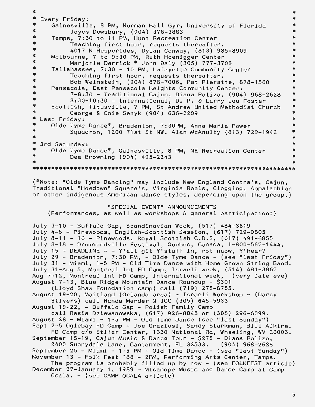\* 4 \* Every Friday:<br>\* Gainesvill  $\pmb{\ast}$ \$ Gainesville, 8 PM, Norman Hall Gym, University of Florida  $\pmb{\psi}$ Joyce Dewsbury, (904) 378-3883 ‡ ¢ Tampa, 7:30 to 11 PM, Hunt Recreation Center  $\pmb{\ast}$  $\pmb{\hat{\tau}}$ Teaching first hour, requests thereafter. \*  $\frac{1}{2}$ ą. 4017 N Hesperides, Dylan Conway, (813) 985-8909 ≉ Melbourne, 7 to 9:30 PM, Ruth Hoenigger Center \$ Marjorie Derrick\* John Daly (305) 777-3708  $\ddot{\phi}$ \* \* \* Tallahassee, 7:30 - 10 PM, Lafayette Community Center  $\ddot{\Phi}$ Teaching first hour, requests thereafter.  $\ddot{\ddagger}$ Bob Weinstein, (904) 878-7006, Pat Pieratte, 878-1560 \* \$ \* Pensacola, East Pensacola Heights Community Center:  $\pmb{\ast}$ 7-8:30 - Traditional Cajun, Diana Polizo, (904) 968-2628 \* \$ ¢ 8:30-10:30 - International, D. P. & Larry Lou Foster \$ \$ Scottish, Titusville, 7 PM, St Andrew United Methodist Church \* George & Onie Senyk (904) 636-2209 ≱ \$ Last Friday: \* \* Olde Tyme Dance\*, Bradenton, 7:30PM, Anna Maria Power \* ¢ Squadron, 1200 71st St NW. Alan McAnulty (813) 729-1942 \* ≉ \$ \* 3rd Saturday:<br>\* Olde Tyme \* \* Olde Tyme Dance\*, Gainesville, 8 PM, NE Recreation Center Dea Browning (904) 495-2243 \* à. \* (\*Note: "Olde Tyme Dancing" may include New England Contra's, Cajun, Traditional "Hoedown" Square's, Virginia Reels, Clogging, Appalachian or other indigenous American dance styles, depending upon the group.) "SPECIAL EVENT" ANNOUNCEMENTS (Performances, as well as workshops & general participation!) July 3-10 - Buffalo Gap, Scandinavian Week, (517) 484-3619 July 4-8 - Pinewoods, English-Scottish Session, (617) 729-0805 July 8-11 - 16 - Pinewoods, Royal Scottish C.D.S, (617) 491-6855 July 8-18 - Drummondville Festival, Quebec, Canada, 1-800-567-1444. July 15 - DEADLINE - - Y'all git Y'stuff in, rot naow, Y'hear? July 29 - Bradenton, 7:30 PM, - Olde Tyme Dance - (see "last Friday") July 31 - Miami, 1-5 PM - Old Time Dance with Home Grown String Band. July 31-Aug 5, Montreal Int FD Camp, Israeli week, (514) 481-3867 Aug 7-12, Montreal Int FD Camp, International week, (very late eve) August 7-13, Blue Ridge Mountain Dance Roundup - \$301 (Lloyd Shaw Foundation camp) call (719) 275-8755. August 19-20, Maitland (Orlando area) - Israeli Workshop - (Darcy Silvers) call Randa Marder @ JCC (305) 645-5933 August 19-22, - Buffalo Gap - Polish Family Camp call Basia Dziewanowska, (617) 926-8048 or (305) 296-6099. August 28 - Miami - 1-5 PM - Old Time Dance (see "last Sunday") Sept 2-5 Oglebay FD Camp - Joe Graziosi, Sandy Starkman, Bill Alkire. FD Camp c/o Stifer Center, 1330 National Rd, Wheeling, WV 26003. September 15-19, Cajun Music & Dance Tour - \$275 - Diana Polizo, 2400 Sunnydale Lane, Cantonment, FL 32533. September 25 - Miami -  $1-5$  PM - Old Time Dance - (see "last Sunday") November 13 - Folk Fest '88 - 2PM, Performing Arts Center, Tampa. The program is probably filled up by now - (see FOLKFEST article) December 27-January 1, 1989 - Micanope Music and Dance Camp at Camp Ocala. - (see CAMP OCALA article)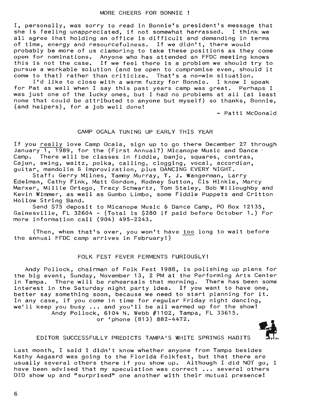I, personally, was sorry to read in Bonnie's president's message that she is feeling unappreciated, if not somewhat harrassed. I think we all agree that holding an office is difficult and demanding in terms of time, energy and resourcefulness. If we didn't, there would probably be more of us clamoring to take these positions as they come open for nominations. Anyone who has attended an FFDC meeting knows this is not the case. If we feel there is a problem we should try to pursue a workable solution (and be open to compromise even, should it

come to that) rather than criticize. That's a no-win situation.<br>I'd like to close with a warm fuzzy for Bonnie. I know I speak I'd like to close with a warm fuzzy for Bonnie. for Pat as well when I say this past years camp was great. Perhaps I was just one of the lucky ones, but I had no problems at all (at least none that could be attributed to anyone but myself) so thanks, Bonnie, (and helpers), for a job well done!

- Patti McDonald

# CAMP OCALA TUNING UP EARLY THIS YEAR

If you really love Camp Ocala, sign up to go there December 27 through January  $1, 1989$ , for the (First Annual?) Micanope Music and Dance Camp. There will be classes in fiddle, banjo, squares, contras, Cajun, swing, waltz, polka, calling, clogging, vocal, accordian, guitar, mandolin & improvization, plus DANCING EVERY NIGHT.

Staff: Gerry Milnes, Tammy Murray, T. J. Wangerman, Larry Edelman, Cathy Fink, Matt Gordon, Rodney Sutton, Cis Hinkle, Marcy Marxer, Millie Ortego, Tracy Schwartz, Tom Staley, Bob Willoughby and Kevin Wimmer, as well as Gumbo Limbo, some Fiddle Puppets and Critton Hollow String Band.

Send \$75 deposit to Micanope Music & Dance Camp, PO Box 12135, Gainesville, FL 32604 - (Total is \$280 if paid before October 1.) For more information call (904) 495-2243.

(Then, when that's over, you won't have too long to wait before the annual FFDC camp arrives in February!)

#### FOLK FEST FEVER FERMENTS FURIOUSLY!

Andy Pollock, chairman of Folk Fest 1988, is polishing up plans for the big event, Sunday, November 13, 2 PM at the Performing Arts Center in Tampa. There **will** be rehearsals that morning. There has been some interest in the Saturday night party idea. If you want to have one, better say something soon, because we need to start planning for it. In any case, if you come in time for regular Friday night dancing, we'll keep you busy ... and you'll be all warmed up for the show! Andy Pollock, 6104 N. Webb #1102, Tampa, FL 33615. or 'phone (813) 882-4472.

EDITOR SUCCESSFULLY PREDICTS TAMPA'S WHITE SPRINGS HABITS

Last month, I said I didn't know whether anyone from Tampa besides Kathy Aagaard was going to the Florida Folkfest, but that there are usually several others there if you show up. Although I did NOT go, I have been advised that my speculation was correct ... several others DID show up and "surprised'' one another with their mutual presence!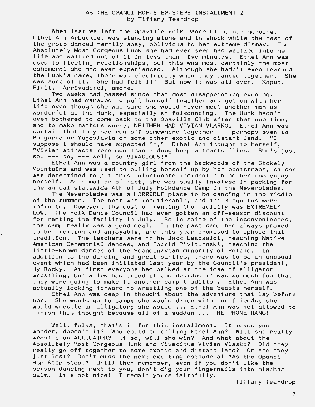When last we left the Opaville Folk Dance Club, our heroine, Ethel Ann Arbuckle, was standing alone and in shock while the rest of the group danced merrily away, oblivious to her extreme dismay. The Absolutely Most Gorgeous Hunk she had ever seen had waltzed into her life and waltzed out of it in less than five minutes. Ethel Ann was used to fleeting relationships, but this was most certainly the most ephemeral she had ever experienced. Although she hadn't even learned the Hunk's name, there was electricity when they danced together. She was sure of it. She had felt it! But now it was all over. Kaput.<br>Finit. Arrivaderci, amore. Arrivaderci, amore.

Two weeks had passed since that most disappointing evening. Ethel Ann had managed to pull herself together and get on with her life even though she was sure she would never meet another man as wonderful as the Hunk, especially at folkdancing. The Hunk hadn't even bothered to come back to the Opaville Club after that one time, and to make matters worse, NEITHER HAD VIVIAN VLASKO. Ethel Ann was certain that they had run off somewhere together  $---$  perhaps even to Bulgaria or Yugoslavia or some other exotic and distant land. "I suppose I should have expected it," Ethel Ann thought to herself, "Vivian attracts more men than a dung heap attracts flies. She's just so,  $---$  so,  $---$  well, so VIVACIOUS!"

Ethel Ann was a country girl from the backwoods of the Stokely Mountains and was used to pulling herself up by her bootstraps, so she was determined to put this unfortunate incident behind her and enjoy herself. As a matter of fact, she was busily involved in packing for the annual statewide 4th of July Folkdance Camp in the Neverblades.

The Neverblades was a HORRIBLE place to be dancing in the middle of the summer. The heat was insufferable, and the mosquitos were infinite. However, the cost of renting the facility was EXTREMELY LOW. The Folk Dance Council had even gotten an off-season discount for. The rock bance obancil had even gotten an orr season discount the camp really was a good deal. In the past camp had always proved to be exciting and enjoyable, and this year promised to uphold that tradition. The teachers were to be Jack Leapsalot, teaching Native American Ceremonial dances, and Ingrid Piviturnski, teaching the little-known dances of the Scandinavian minority of Poland. In addition to the dancing and great parties, there was to be an unusual event which had been initiated last year by the Council's president, Hy Rocky. At first everyone had balked at the idea of alligator wrestling, but a few had tried it and decided it was so much fun that they were going to make it another camp tradition. Ethel Ann was actually looking forward to wrestling one of the beasts herself.

Ethel Ann was deep in thought about the adventure that lay before her. She would go to camp; she would dance with her friends; she would wrestle an alligator; she would ... Ethel Ann was not allowed to finish this thought because all of a sudden ... THE PHONE RANG!

Well, folks, that's it for this installment. It makes you wonder, doesn't it? Who could be calling Ethel Ann? Will she really wrestle an ALLIGATOR? If so, will she win? And what about the Absolutely Most Gorgeous Hunk and Vivacious Vivian Vlasko? Did they really go off together to some exotic and distant land? Or are they just lost? Don't miss the next exciting episode of "As the Opanci Hop-Step-Step." Until then remember, even if you don't like the person dancing next to you, don't dig your fingernails into his/her palm. It's not nice! I remain yours faithfully,

Tiffany Teardrop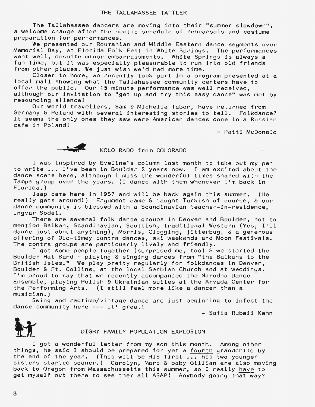The Tallahassee dancers are moving into their "summer slowdown", a welcome change after the hectic schedule of rehearsals and costume preparation for performances.

We presented our Roumanian and Middle Eastern dance segments over Memorial Day, at Florida Folk Fest in White Springs. The performances went well, despite minor embarrassments. White Springs is always a fun time, but it was especially pleasurable to run into old friends from other places. We just wish we'd had more time.

Closer to home, we recently took part in a program presented at a local mall showing what the Tallahassee community centers have to offer the public. Our 15 minute performance was well received, although our *invitation* to "get up and try this easy dance" was met by resounding silence!

Our world travellers, Sam & Michelle Tabor, have returned from Germany & Poland with several interesting stories to tell. Folkdance? It seems the only ones they saw were American dances done in a Russian cafe in Poland!

- Patti McDonald

 $\mathbf{v}$ 



# KOLO RADO from COLORADO

I was inspired by Eveline's column last month to take out my pen to write ••• I've been in Boulder 2 years now. I am *excited* about the dance scene here, although I miss the wonderful times shared with the Tampa group over the years. (I dance with them whenever I'm back in Florida.)

Jaap came here in 1987 and will be back again this summer. (He really gets around!) Ergument came & taught Turkish of course, & our dance community is blessed with a Scandinavian teacher-in-residence, Ingvar Soda!.

There are several folk dance groups in Denver and Boulder, not to mention Balkan, Scandinavian, Scottish, traditional Western (Yes, I'll dance just about anything), Morris, Clogging, jitterbug, & a generous offering of Old-timey contra dances, ski weekends and Moon Festivals. The contra groups are particuarly lively and friendly.

I got some people together (surprised me, too) & we started the Boulder Hat Band - playing & singing dances from "the Balkans to the British Isles." We play pretty regularly for folkdances *in* Denver, Boulder & Ft. Collins, at the local Serbian Church and at weddings. I'm proud to say that we recently accompanied the Narodno Dance Ensemble, playing Polish & Ukrainian suites at the Arvada Center for the Performing Arts. (I still feel more like a dancer than a musician.)

Swing and ragtime/vintage dance are just beginning to infect the dance community here --- It' great!

- Safia Rubaii Kahn



- Safia Rubaii Ka<br>DIGBY FAMILY POPULATION EXPLOSION<br>I got a wonderful letter from my son this month. Among other things, he said I should be prepared for yet a fourth grandchild by the end of the year. (This will be HIS first ... his two younger sisters started sooner.) Carolyn, Marc & baby Gillian are also moving back to Oregon from Massachussetts this summer, so I really have to get myself out there to see them all ASAP! Anybody going that way?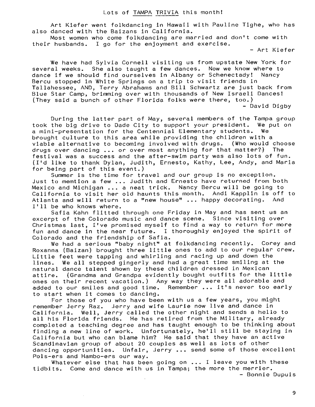### Lots of TAMPA TRIVIA this month!

Art Kiefer went folkdancing in Hawaii with Pauline Tighe, who has also danced with the Baizans in California.

Most women who come folkdancing are married and don't come with their husbands. I go for the enjoyment and exercise.

- Art Kiefer

We have had Sylvia Cornell visiting us from upstate New York for several weeks. She also taught a few dances. Now we know where to dance if we should find ourselves in Albany or Schenectady! Nancy Bercu stopped in White Springs on a trip to visit friends in Tallahessee, AND, Terry Abrahams and Bill Schwartz are just back from Blue Star Camp, brimming over with thousands of New Israeli Dances! (They said a bunch of other Florida folks were there, too.) - David Digby

During the latter part of May, several members of the Tampa group took the big drive to Dade City to support your president. We put on a mini-presentation for the Centennial Elementary students. We brought culture to this area while providing the children with a viable alternative to becoming involved with drugs. (Who would choose drugs over dancing •.• or over most anything for that matter?) The festival was a success and the after-swim party was also lots of fun. (I'd like to thank Dylan, Judith, Ernesto, Kathy, Lee, Andy, and Maria for being part of this event.)

Summer is the time for travel and our group is no exception. Just to memtion a few ... Judith and Ernesto have returned from both Mexico and Michigan ... a neat trick. Nancy Bercu will be going to California to visit her old haunts this month. Andi Kapplin is off to Atlanta and will return to a "new house" ... happy decorating. And I'll be who knows where.

Safia Kahn flitted through one Friday in May and has sent us an excerpt of the Colorado music and dance scene. Since visiting over Christmas last, I've promised myself to find a way to return for more fun and dance in the near future. I thoroughly enjoyed the spirit of Colorado and the friendship of Safia.

We had a serious "baby night" at folkdancing recently. Corey and Roxanna (Baizan) brought three little ones to add to our regular crew. Little feet were tapping and whirling and racing up and down the lines. We all stepped gingerly and had a great time smiling at the natural dance talent shown by these children dressed in Mexican attire. (Grandma and Grandpa evidently bought outfits for the little ones on their recent vacation.) Any way they were all adorable and added to our smiles and good time. Remember ... it's never too early to start when it comes to dancing.

For those of you who have been with us a few years, you might remember Jerry Raz. Jerry and wife Laurie now live and dance in California. Well, Jerry called the other night and sends a hello to all his Florida friends. He has retired from the Military, already completed a teaching degree and has taught enough to be thinking about finding a new line of work. Unfortunately, he'll still be staying in California but who can blame him? He said that they have an active Scandinavian group of about 20 couples as well as lots of other dancing opportunities. Unfair, Jerry •.• send some of those excellent Pols-ers and Hambo-ers our way.

Whatever else that has been going on ... I leave you with these tidbits. Come and dance with us in Tampa; the more the merrier. - Bonnie Dupuis